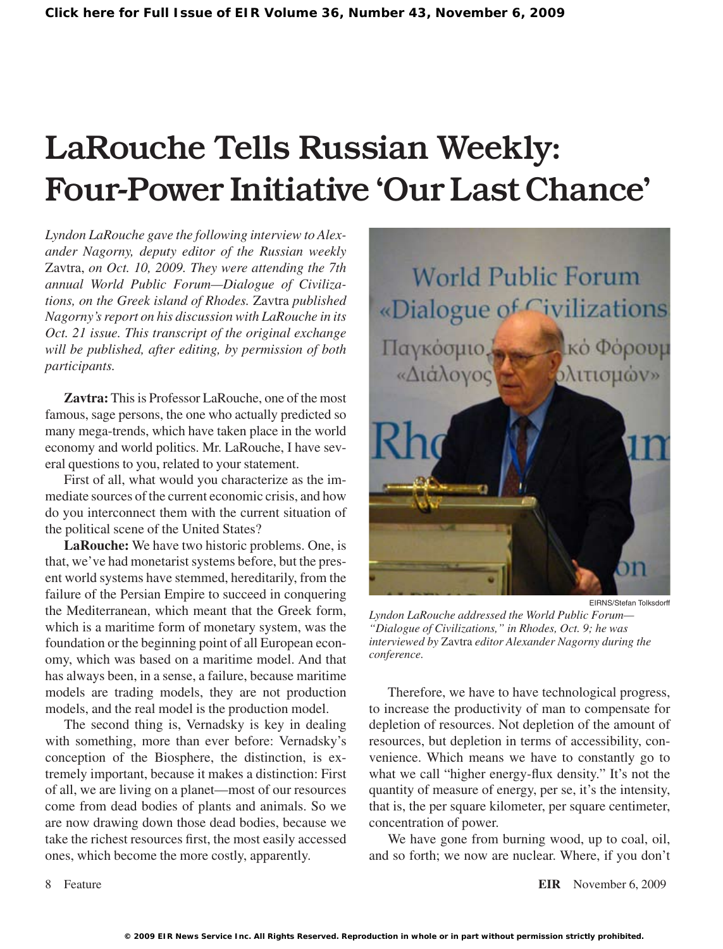# LaRouche Tells Russian Weekly: Four-Power Initiative 'Our Last Chance'

*Lyndon LaRouche gave the following interview to Alexander Nagorny, deputy editor of the Russian weekly*  Zavtra, *on Oct. 10, 2009. They were attending the 7th annual World Public Forum—Dialogue of Civilizations, on the Greek island of Rhodes.* Zavtra *published Nagorny's report on his discussion with LaRouche in its Oct. 21 issue. This transcript of the original exchange will be published, after editing, by permission of both participants.*

Zavtra: This is Professor LaRouche, one of the most famous, sage persons, the one who actually predicted so many mega-trends, which have taken place in the world economy and world politics. Mr. LaRouche, I have several questions to you, related to your statement.

First of all, what would you characterize as the immediate sources of the current economic crisis, and how do you interconnect them with the current situation of the political scene of the United States?

**LaRouche:** We have two historic problems. One, is that, we've had monetarist systems before, but the present world systems have stemmed, hereditarily, from the failure of the Persian Empire to succeed in conquering the Mediterranean, which meant that the Greek form, which is a maritime form of monetary system, was the foundation or the beginning point of all European economy, which was based on a maritime model. And that has always been, in a sense, a failure, because maritime models are trading models, they are not production models, and the real model is the production model.

The second thing is, Vernadsky is key in dealing with something, more than ever before: Vernadsky's conception of the Biosphere, the distinction, is extremely important, because it makes a distinction: First of all, we are living on a planet—most of our resources come from dead bodies of plants and animals. So we are now drawing down those dead bodies, because we take the richest resources first, the most easily accessed ones, which become the more costly, apparently.



EIRNS/Stefan Tolksdorff

*Lyndon LaRouche addressed the World Public Forum— "Dialogue of Civilizations," in Rhodes, Oct. 9; he was interviewed by* Zavtra *editor Alexander Nagorny during the conference.*

Therefore, we have to have technological progress, to increase the productivity of man to compensate for depletion of resources. Not depletion of the amount of resources, but depletion in terms of accessibility, convenience. Which means we have to constantly go to what we call "higher energy-flux density." It's not the quantity of measure of energy, per se, it's the intensity, that is, the per square kilometer, per square centimeter, concentration of power.

We have gone from burning wood, up to coal, oil, and so forth; we now are nuclear. Where, if you don't

Feature **EIR** November 6, 2009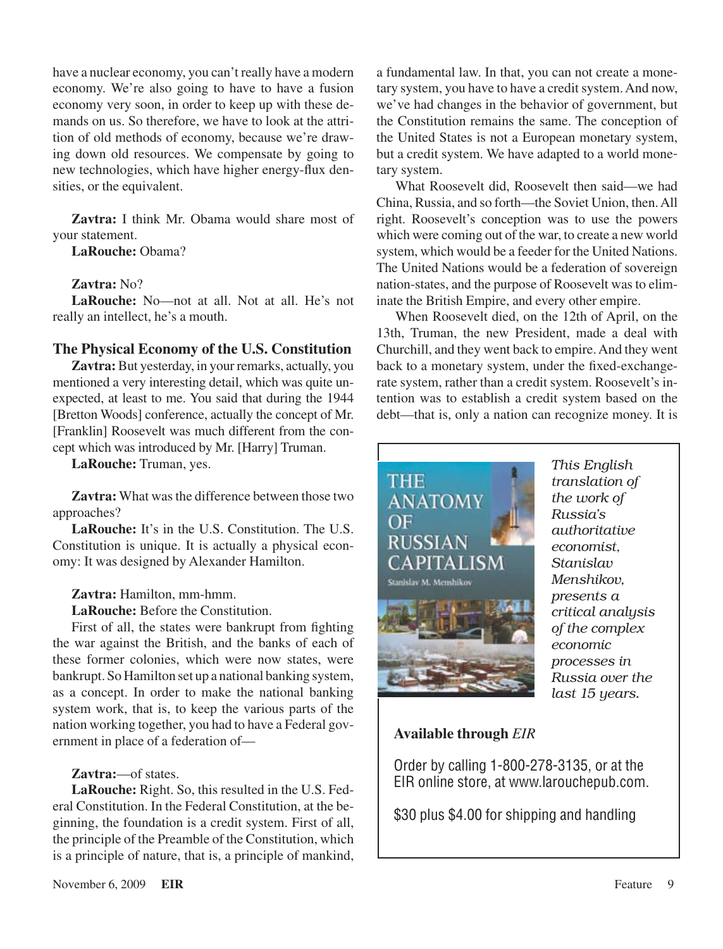have a nuclear economy, you can't really have a modern economy. We're also going to have to have a fusion economy very soon, in order to keep up with these demands on us. So therefore, we have to look at the attrition of old methods of economy, because we're drawing down old resources. We compensate by going to new technologies, which have higher energy-flux densities, or the equivalent.

**Zavtra:** I think Mr. Obama would share most of your statement.

**LaRouche:** Obama?

## **Zavtra:** No?

**LaRouche:** No—not at all. Not at all. He's not really an intellect, he's a mouth.

## **The Physical Economy of the U.S. Constitution**

Zavtra: But yesterday, in your remarks, actually, you mentioned a very interesting detail, which was quite unexpected, at least to me. You said that during the 1944 [Bretton Woods] conference, actually the concept of Mr. [Franklin] Roosevelt was much different from the concept which was introduced by Mr. [Harry] Truman.

**LaRouche:** Truman, yes.

**Zavtra:** What was the difference between those two approaches?

**LaRouche:** It's in the U.S. Constitution. The U.S. Constitution is unique. It is actually a physical economy: It was designed by Alexander Hamilton.

## **Zavtra:** Hamilton, mm-hmm.

**LaRouche:** Before the Constitution.

First of all, the states were bankrupt from fighting the war against the British, and the banks of each of these former colonies, which were now states, were bankrupt. So Hamilton set up a national banking system, as a concept. In order to make the national banking system work, that is, to keep the various parts of the nation working together, you had to have a Federal government in place of a federation of—

## **Zavtra:**—of states.

**LaRouche:** Right. So, this resulted in the U.S. Federal Constitution. In the Federal Constitution, at the beginning, the foundation is a credit system. First of all, the principle of the Preamble of the Constitution, which is a principle of nature, that is, a principle of mankind,

a fundamental law. In that, you can not create a monetary system, you have to have a credit system. And now, we've had changes in the behavior of government, but the Constitution remains the same. The conception of the United States is not a European monetary system, but a credit system. We have adapted to a world monetary system.

What Roosevelt did, Roosevelt then said—we had China, Russia, and so forth—the Soviet Union, then.All right. Roosevelt's conception was to use the powers which were coming out of the war, to create a new world system, which would be a feeder for the United Nations. The United Nations would be a federation of sovereign nation-states, and the purpose of Roosevelt was to eliminate the British Empire, and every other empire.

When Roosevelt died, on the 12th of April, on the 13th, Truman, the new President, made a deal with Churchill, and they went back to empire.And they went back to a monetary system, under the fixed-exchangerate system, rather than a credit system. Roosevelt's intention was to establish a credit system based on the debt—that is, only a nation can recognize money. It is



# **Available through** *EIR*

Order by calling 1-800-278-3135, or at the EIR online store, at www.larouchepub.com.

\$30 plus \$4.00 for shipping and handling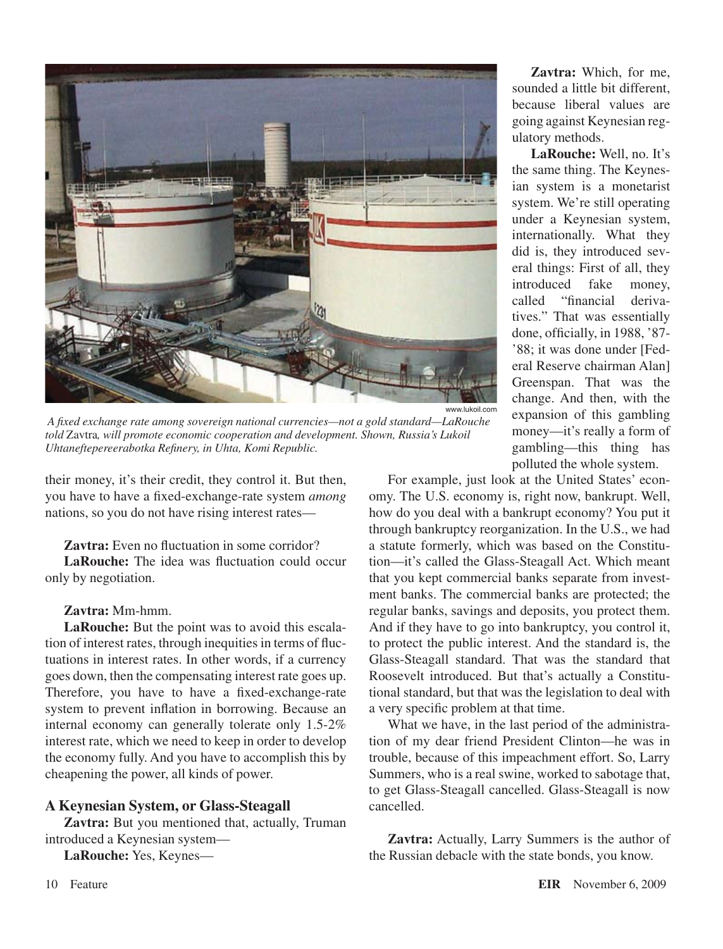

 *A fixed exchange rate among sovereign national currencies—not a gold standard—LaRouche told* Zavtra*, will promote economic cooperation and development. Shown, Russia's Lukoil Uhtaneftepereerabotka Refinery, in Uhta, Komi Republic.*

their money, it's their credit, they control it. But then, you have to have a fixed-exchange-rate system *among* nations, so you do not have rising interest rates—

#### **Zavtra:** Even no fluctuation in some corridor?

**LaRouche:** The idea was fluctuation could occur only by negotiation.

#### **Zavtra:** Mm-hmm.

**LaRouche:** But the point was to avoid this escalation of interest rates, through inequities in terms of fluctuations in interest rates. In other words, if a currency goes down, then the compensating interest rate goes up. Therefore, you have to have a fixed-exchange-rate system to prevent inflation in borrowing. Because an internal economy can generally tolerate only 1.5-2% interest rate, which we need to keep in order to develop the economy fully. And you have to accomplish this by cheapening the power, all kinds of power.

#### **A Keynesian System, or Glass-Steagall**

**Zavtra:** But you mentioned that, actually, Truman introduced a Keynesian system—

**LaRouche:** Yes, Keynes—

**Zavtra:** Which, for me, sounded a little bit different, because liberal values are going against Keynesian regulatory methods.

**LaRouche:** Well, no. It's the same thing. The Keynesian system is a monetarist system. We're still operating under a Keynesian system, internationally. What they did is, they introduced several things: First of all, they introduced fake money, called "financial derivatives." That was essentially done, officially, in 1988, '87- '88; it was done under [Federal Reserve chairman Alan] Greenspan. That was the change. And then, with the expansion of this gambling money—it's really a form of gambling—this thing has polluted the whole system.

For example, just look at the United States' economy. The U.S. economy is, right now, bankrupt. Well, how do you deal with a bankrupt economy? You put it through bankruptcy reorganization. In the U.S., we had a statute formerly, which was based on the Constitution—it's called the Glass-Steagall Act. Which meant that you kept commercial banks separate from investment banks. The commercial banks are protected; the regular banks, savings and deposits, you protect them. And if they have to go into bankruptcy, you control it, to protect the public interest. And the standard is, the Glass-Steagall standard. That was the standard that Roosevelt introduced. But that's actually a Constitutional standard, but that was the legislation to deal with a very specific problem at that time.

What we have, in the last period of the administration of my dear friend President Clinton—he was in trouble, because of this impeachment effort. So, Larry Summers, who is a real swine, worked to sabotage that, to get Glass-Steagall cancelled. Glass-Steagall is now cancelled.

**Zavtra:** Actually, Larry Summers is the author of the Russian debacle with the state bonds, you know.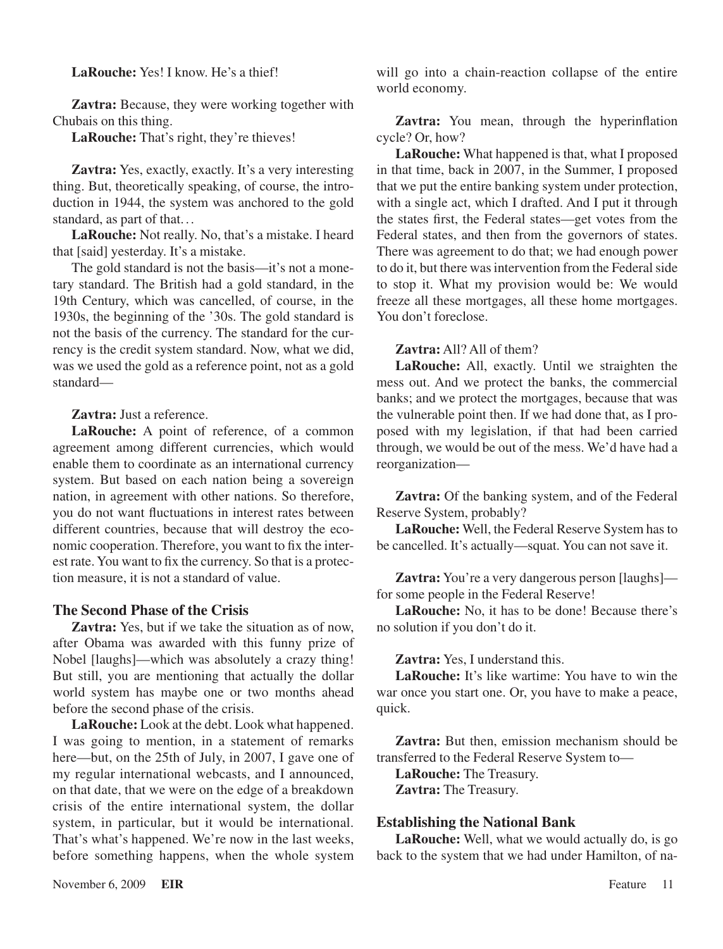## **LaRouche:** Yes! I know. He's a thief!

**Zavtra:** Because, they were working together with Chubais on this thing.

**LaRouche:** That's right, they're thieves!

**Zavtra:** Yes, exactly, exactly. It's a very interesting thing. But, theoretically speaking, of course, the introduction in 1944, the system was anchored to the gold standard, as part of that...

**LaRouche:** Not really. No, that's a mistake. I heard that [said] yesterday. It's a mistake.

The gold standard is not the basis—it's not a monetary standard. The British had a gold standard, in the 19th Century, which was cancelled, of course, in the 1930s, the beginning of the '30s. The gold standard is not the basis of the currency. The standard for the currency is the credit system standard. Now, what we did, was we used the gold as a reference point, not as a gold standard—

#### **Zavtra:** Just a reference.

**LaRouche:** A point of reference, of a common agreement among different currencies, which would enable them to coordinate as an international currency system. But based on each nation being a sovereign nation, in agreement with other nations. So therefore, you do not want fluctuations in interest rates between different countries, because that will destroy the economic cooperation. Therefore, you want to fix the interest rate. You want to fix the currency. So that is a protection measure, it is not a standard of value.

#### **The Second Phase of the Crisis**

**Zavtra:** Yes, but if we take the situation as of now, after Obama was awarded with this funny prize of Nobel [laughs]—which was absolutely a crazy thing! But still, you are mentioning that actually the dollar world system has maybe one or two months ahead before the second phase of the crisis.

**LaRouche:** Look at the debt. Look what happened. I was going to mention, in a statement of remarks here—but, on the 25th of July, in 2007, I gave one of my regular international webcasts, and I announced, on that date, that we were on the edge of a breakdown crisis of the entire international system, the dollar system, in particular, but it would be international. That's what's happened. We're now in the last weeks, before something happens, when the whole system will go into a chain-reaction collapse of the entire world economy.

**Zavtra:** You mean, through the hyperinflation cycle? Or, how?

**LaRouche:** What happened is that, what I proposed in that time, back in 2007, in the Summer, I proposed that we put the entire banking system under protection, with a single act, which I drafted. And I put it through the states first, the Federal states—get votes from the Federal states, and then from the governors of states. There was agreement to do that; we had enough power to do it, but there was intervention from the Federal side to stop it. What my provision would be: We would freeze all these mortgages, all these home mortgages. You don't foreclose.

#### **Zavtra:** All? All of them?

**LaRouche:** All, exactly. Until we straighten the mess out. And we protect the banks, the commercial banks; and we protect the mortgages, because that was the vulnerable point then. If we had done that, as I proposed with my legislation, if that had been carried through, we would be out of the mess. We'd have had a reorganization—

**Zavtra:** Of the banking system, and of the Federal Reserve System, probably?

LaRouche: Well, the Federal Reserve System has to be cancelled. It's actually—squat. You can not save it.

**Zavtra:** You're a very dangerous person [laughs] for some people in the Federal Reserve!

**LaRouche:** No, it has to be done! Because there's no solution if you don't do it.

**Zavtra:** Yes, I understand this.

**LaRouche:** It's like wartime: You have to win the war once you start one. Or, you have to make a peace, quick.

**Zavtra:** But then, emission mechanism should be transferred to the Federal Reserve System to—

**LaRouche:** The Treasury. **Zavtra:** The Treasury.

#### **Establishing the National Bank**

**LaRouche:** Well, what we would actually do, is go back to the system that we had under Hamilton, of na-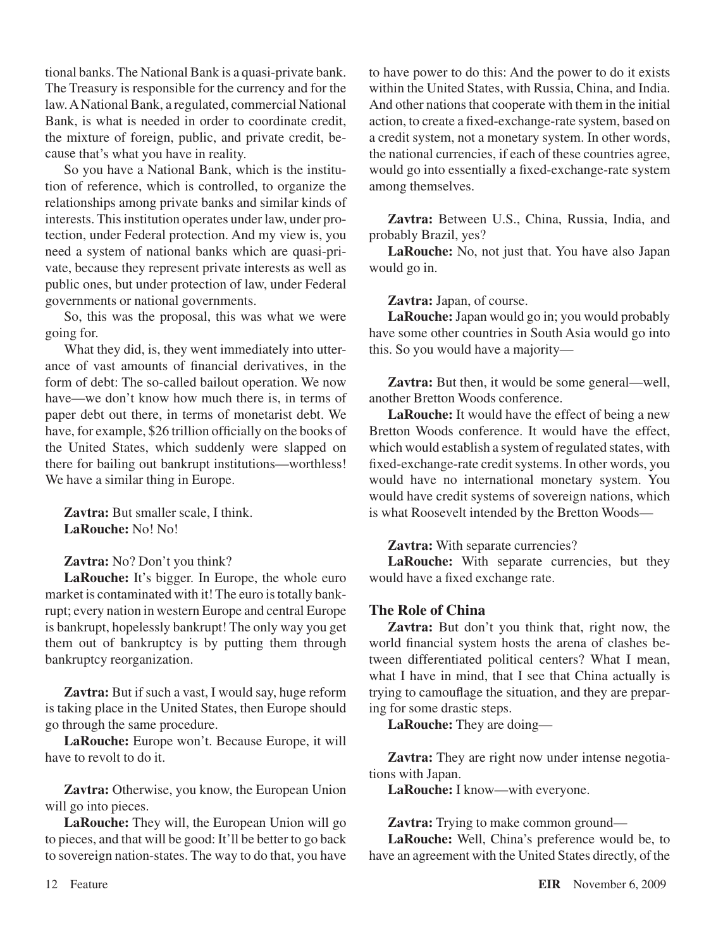tional banks.The National Bank is a quasi-private bank. The Treasury is responsible for the currency and for the law.ANational Bank, a regulated, commercial National Bank, is what is needed in order to coordinate credit the mixture of foreign, public, and private credit, because that's what you have in reality.

So you have a National Bank, which is the institution of reference, which is controlled, to organize the relationships among private banks and similar kinds of interests. This institution operates under law, under protection, under Federal protection. And my view is, you need a system of national banks which are quasi-private, because they represent private interests as well as public ones, but under protection of law, under Federal governments or national governments.

So, this was the proposal, this was what we were going for.

What they did, is, they went immediately into utterance of vast amounts of financial derivatives, in the form of debt: The so-called bailout operation. We now have—we don't know how much there is, in terms of paper debt out there, in terms of monetarist debt. We have, for example, \$26 trillion officially on the books of the United States, which suddenly were slapped on there for bailing out bankrupt institutions—worthless! We have a similar thing in Europe.

**Zavtra:** But smaller scale, I think. **LaRouche:** No! No!

**Zavtra:** No? Don't you think?

**LaRouche:** It's bigger. In Europe, the whole euro market is contaminated with it! The euro is totally bankrupt; every nation in western Europe and central Europe is bankrupt, hopelessly bankrupt! The only way you get them out of bankruptcy is by putting them through bankruptcy reorganization.

**Zavtra:** But if such a vast, I would say, huge reform is taking place in the United States, then Europe should go through the same procedure.

**LaRouche:** Europe won't. Because Europe, it will have to revolt to do it.

**Zavtra:** Otherwise, you know, the European Union will go into pieces.

**LaRouche:** They will, the European Union will go to pieces, and that will be good: It'll be better to go back to sovereign nation-states. The way to do that, you have

to have power to do this: And the power to do it exists within the United States, with Russia, China, and India. And other nations that cooperate with them in the initial action, to create a fixed-exchange-rate system, based on a credit system, not a monetary system. In other words, the national currencies, if each of these countries agree, would go into essentially a fixed-exchange-rate system among themselves.

**Zavtra:** Between U.S., China, Russia, India, and probably Brazil, yes?

**LaRouche:** No, not just that. You have also Japan would go in.

**Zavtra:** Japan, of course.

**LaRouche:**Japan would go in; you would probably have some other countries in South Asia would go into this. So you would have a majority—

**Zavtra:** But then, it would be some general—well, another Bretton Woods conference.

**LaRouche:** It would have the effect of being a new Bretton Woods conference. It would have the effect, which would establish a system of regulated states, with fixed-exchange-rate credit systems. In other words, you would have no international monetary system. You would have credit systems of sovereign nations, which is what Roosevelt intended by the Bretton Woods—

**Zavtra:** With separate currencies?

LaRouche: With separate currencies, but they would have a fixed exchange rate.

## **The Role of China**

**Zavtra:** But don't you think that, right now, the world financial system hosts the arena of clashes between differentiated political centers? What I mean, what I have in mind, that I see that China actually is trying to camouflage the situation, and they are preparing for some drastic steps.

**LaRouche:** They are doing—

**Zavtra:** They are right now under intense negotiations with Japan.

**LaRouche:** I know—with everyone.

**Zavtra:** Trying to make common ground—

**LaRouche:** Well, China's preference would be, to have an agreement with the United States directly, of the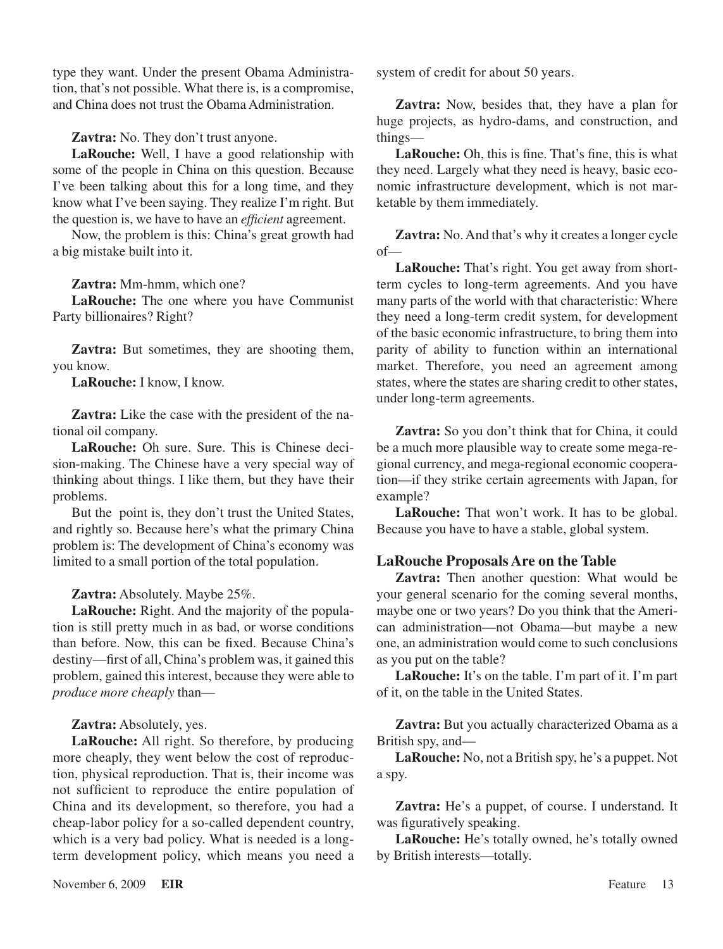type they want. Under the present Obama Administration, that's not possible. What there is, is a compromise, and China does not trust the Obama Administration.

**Zavtra:** No. They don't trust anyone.

**LaRouche:** Well, I have a good relationship with some of the people in China on this question. Because I've been talking about this for a long time, and they know what I've been saying. They realize I'm right. But the question is, we have to have an *efficient* agreement.

Now, the problem is this: China's great growth had a big mistake built into it.

**Zavtra:** Mm-hmm, which one?

**LaRouche:** The one where you have Communist Party billionaires? Right?

**Zavtra:** But sometimes, they are shooting them, you know.

**LaRouche:** I know, I know.

**Zavtra:** Like the case with the president of the national oil company.

**LaRouche:** Oh sure. Sure. This is Chinese decision-making. The Chinese have a very special way of thinking about things. I like them, but they have their problems.

But the point is, they don't trust the United States, and rightly so. Because here's what the primary China problem is: The development of China's economy was limited to a small portion of the total population.

**Zavtra:** Absolutely. Maybe 25%.

**LaRouche:** Right. And the majority of the population is still pretty much in as bad, or worse conditions than before. Now, this can be fixed. Because China's destiny—first of all, China's problem was, it gained this problem, gained this interest, because they were able to *produce more cheaply* than—

**Zavtra:** Absolutely, yes.

**LaRouche:** All right. So therefore, by producing more cheaply, they went below the cost of reproduction, physical reproduction. That is, their income was not sufficient to reproduce the entire population of China and its development, so therefore, you had a cheap-labor policy for a so-called dependent country, which is a very bad policy. What is needed is a longterm development policy, which means you need a

**Zavtra:** Now, besides that, they have a plan for huge projects, as hydro-dams, and construction, and things—

**LaRouche:** Oh, this is fine. That's fine, this is what they need. Largely what they need is heavy, basic economic infrastructure development, which is not marketable by them immediately.

**Zavtra:** No.And that's why it creates a longer cycle of—

**LaRouche:** That's right. You get away from shortterm cycles to long-term agreements. And you have many parts of the world with that characteristic: Where they need a long-term credit system, for development of the basic economic infrastructure, to bring them into parity of ability to function within an international market. Therefore, you need an agreement among states, where the states are sharing credit to other states, under long-term agreements.

**Zavtra:** So you don't think that for China, it could be a much more plausible way to create some mega-regional currency, and mega-regional economic cooperation—if they strike certain agreements with Japan, for example?

**LaRouche:** That won't work. It has to be global. Because you have to have a stable, global system.

## **LaRouche Proposals Are on the Table**

**Zavtra:** Then another question: What would be your general scenario for the coming several months, maybe one or two years? Do you think that the American administration—not Obama—but maybe a new one, an administration would come to such conclusions as you put on the table?

LaRouche: It's on the table. I'm part of it. I'm part of it, on the table in the United States.

**Zavtra:** But you actually characterized Obama as a British spy, and—

**LaRouche:** No, not a British spy, he's a puppet. Not a spy.

**Zavtra:** He's a puppet, of course. I understand. It was figuratively speaking.

**LaRouche:** He's totally owned, he's totally owned by British interests—totally.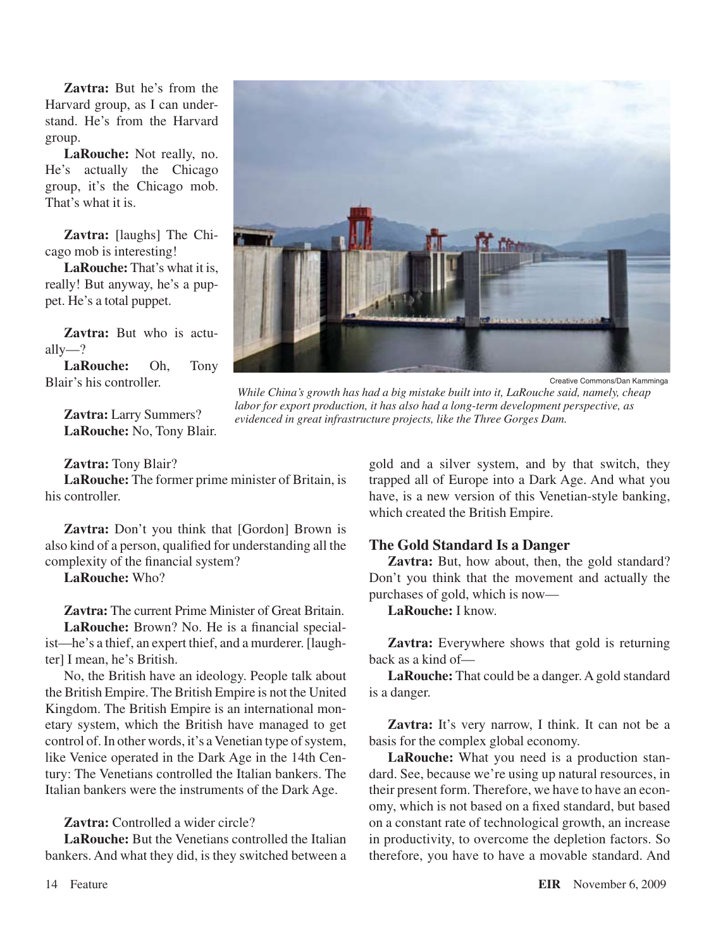**Zavtra:** But he's from the Harvard group, as I can understand. He's from the Harvard group.

**LaRouche:** Not really, no. He's actually the Chicago group, it's the Chicago mob. That's what it is.

**Zavtra:** [laughs] The Chicago mob is interesting!

**LaRouche:** That's what it is, really! But anyway, he's a puppet. He's a total puppet.

**Zavtra:** But who is actually—?

**LaRouche:** Oh, Tony Blair's his controller.

> **Zavtra:** Larry Summers? **LaRouche:** No, Tony Blair.

Creative Commons/Dan Kamminga

 *While China's growth has had a big mistake built into it, LaRouche said, namely, cheap labor for export production, it has also had a long-term development perspective, as evidenced in great infrastructure projects, like the Three Gorges Dam.*

#### **Zavtra:** Tony Blair?

**LaRouche:** The former prime minister of Britain, is his controller.

**Zavtra:** Don't you think that [Gordon] Brown is also kind of a person, qualified for understanding all the complexity of the financial system?

**LaRouche:** Who?

**Zavtra:** The current Prime Minister of Great Britain. **LaRouche:** Brown? No. He is a financial specialist—he's a thief, an expert thief, and a murderer. [laughter] I mean, he's British.

No, the British have an ideology. People talk about the British Empire. The British Empire is not the United Kingdom. The British Empire is an international monetary system, which the British have managed to get control of. In other words, it's a Venetian type of system, like Venice operated in the Dark Age in the 14th Century: The Venetians controlled the Italian bankers. The Italian bankers were the instruments of the Dark Age.

**Zavtra:** Controlled a wider circle?

**LaRouche:** But the Venetians controlled the Italian bankers. And what they did, is they switched between a gold and a silver system, and by that switch, they trapped all of Europe into a Dark Age. And what you have, is a new version of this Venetian-style banking, which created the British Empire.

## **The Gold Standard Is a Danger**

**Zavtra:** But, how about, then, the gold standard? Don't you think that the movement and actually the purchases of gold, which is now—

**LaRouche:** I know.

**Zavtra:** Everywhere shows that gold is returning back as a kind of—

**LaRouche:** That could be a danger. A gold standard is a danger.

**Zavtra:** It's very narrow, I think. It can not be a basis for the complex global economy.

**LaRouche:** What you need is a production standard. See, because we're using up natural resources, in their present form. Therefore, we have to have an economy, which is not based on a fixed standard, but based on a constant rate of technological growth, an increase in productivity, to overcome the depletion factors. So therefore, you have to have a movable standard. And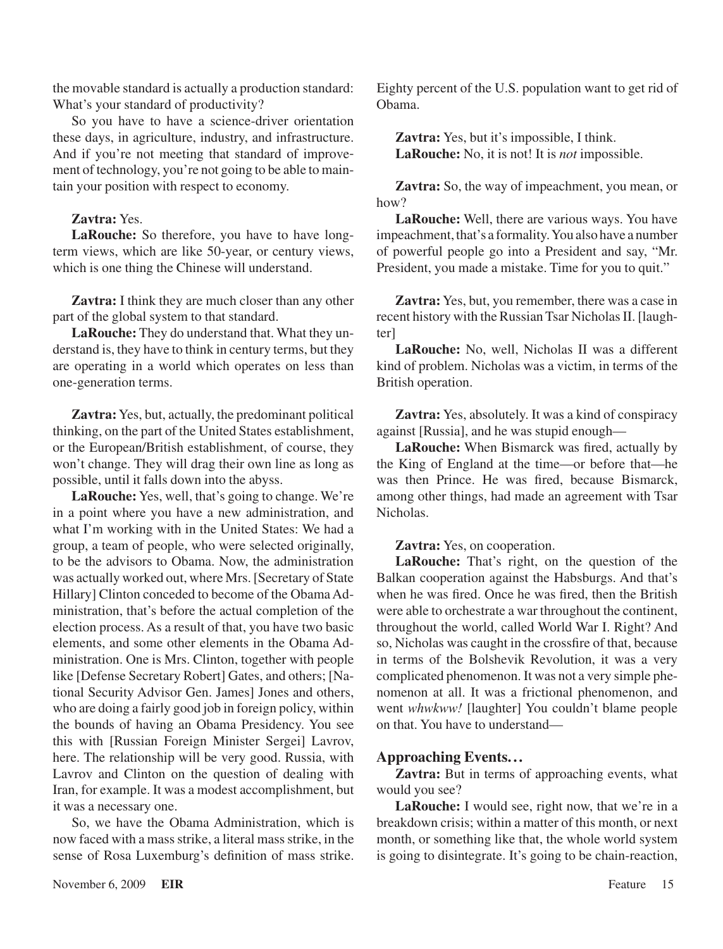the movable standard is actually a production standard: What's your standard of productivity?

So you have to have a science-driver orientation these days, in agriculture, industry, and infrastructure. And if you're not meeting that standard of improvement of technology, you're not going to be able to maintain your position with respect to economy.

## **Zavtra:** Yes.

**LaRouche:** So therefore, you have to have longterm views, which are like 50-year, or century views, which is one thing the Chinese will understand.

**Zavtra:** I think they are much closer than any other part of the global system to that standard.

**LaRouche:** They do understand that. What they understand is, they have to think in century terms, but they are operating in a world which operates on less than one-generation terms.

**Zavtra:**Yes, but, actually, the predominant political thinking, on the part of the United States establishment, or the European/British establishment, of course, they won't change. They will drag their own line as long as possible, until it falls down into the abyss.

**LaRouche:** Yes, well, that's going to change. We're in a point where you have a new administration, and what I'm working with in the United States: We had a group, a team of people, who were selected originally, to be the advisors to Obama. Now, the administration was actually worked out, where Mrs.[Secretary of State Hillary] Clinton conceded to become of the Obama Administration, that's before the actual completion of the election process. As a result of that, you have two basic elements, and some other elements in the Obama Administration. One is Mrs. Clinton, together with people like [Defense Secretary Robert] Gates, and others; [National Security Advisor Gen. James] Jones and others, who are doing a fairly good job in foreign policy, within the bounds of having an Obama Presidency. You see this with [Russian Foreign Minister Sergei] Lavrov, here. The relationship will be very good. Russia, with Lavrov and Clinton on the question of dealing with Iran, for example. It was a modest accomplishment, but it was a necessary one.

So, we have the Obama Administration, which is now faced with a mass strike, a literal mass strike, in the sense of Rosa Luxemburg's definition of mass strike. Eighty percent of the U.S. population want to get rid of Obama.

**Zavtra:** Yes, but it's impossible, I think. LaRouche: No, it is not! It is *not* impossible.

**Zavtra:** So, the way of impeachment, you mean, or how?

**LaRouche:** Well, there are various ways. You have impeachment, that's a formality. You also have a number of powerful people go into a President and say, "Mr. President, you made a mistake. Time for you to quit."

**Zavtra:** Yes, but, you remember, there was a case in recent history with the Russian Tsar Nicholas II. [laughter]

**LaRouche:** No, well, Nicholas II was a different kind of problem. Nicholas was a victim, in terms of the British operation.

**Zavtra:** Yes, absolutely. It was a kind of conspiracy against [Russia], and he was stupid enough—

**LaRouche:** When Bismarck was fired, actually by the King of England at the time—or before that—he was then Prince. He was fired, because Bismarck, among other things, had made an agreement with Tsar Nicholas.

**Zavtra:** Yes, on cooperation.

**LaRouche:** That's right, on the question of the Balkan cooperation against the Habsburgs. And that's when he was fired. Once he was fired, then the British were able to orchestrate a war throughout the continent, throughout the world, called World War I. Right? And so, Nicholas was caught in the crossfire of that, because in terms of the Bolshevik Revolution, it was a very complicated phenomenon. It was not a very simple phenomenon at all. It was a frictional phenomenon, and went *whwkww!* [laughter] You couldn't blame people on that. You have to understand—

# **Approaching Events. ..**

**Zavtra:** But in terms of approaching events, what would you see?

**LaRouche:** I would see, right now, that we're in a breakdown crisis; within a matter of this month, or next month, or something like that, the whole world system is going to disintegrate. It's going to be chain-reaction,